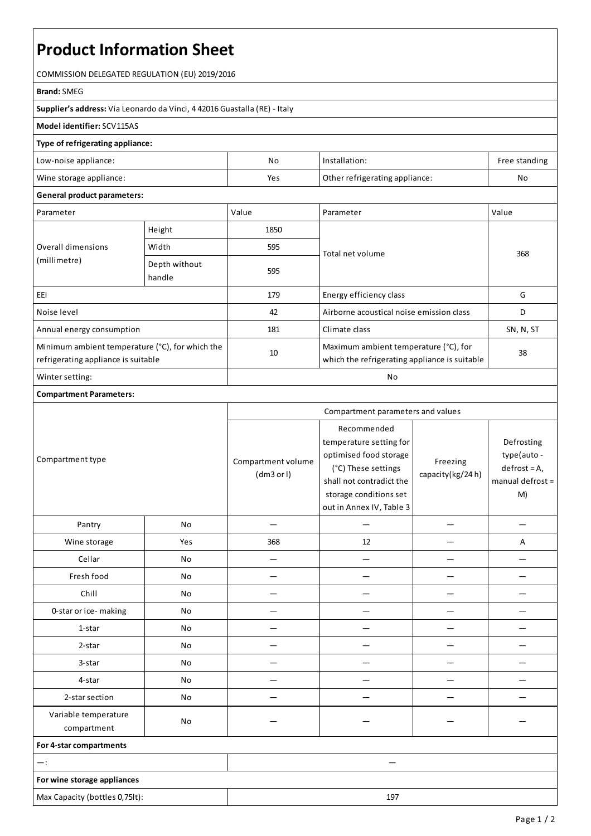# **Product Information Sheet**

COMMISSION DELEGATED REGULATION (EU) 2019/2016

#### **Brand:**SMEG

**Supplier's address:** ViaLeonardo da Vinci, 4 42016 Guastalla(RE) - Italy

## **Model identifier:**SCV115AS

### **Type of refrigerating appliance:**

| Low-noise appliance:    | Nc  | Installation:                  | Free standing |
|-------------------------|-----|--------------------------------|---------------|
| Wine storage appliance: | Yes | Other refrigerating appliance: | No            |

## **General product parameters:**

| Parameter                                                                              |                         | Value | Parameter                                                                              | Value     |
|----------------------------------------------------------------------------------------|-------------------------|-------|----------------------------------------------------------------------------------------|-----------|
| Overall dimensions<br>(millimetre)                                                     | Height                  | 1850  |                                                                                        | 368       |
|                                                                                        | Width                   | 595   | Total net volume                                                                       |           |
|                                                                                        | Depth without<br>handle | 595   |                                                                                        |           |
| EEI                                                                                    |                         | 179   | Energy efficiency class                                                                | G         |
| Noise level                                                                            |                         | 42    | Airborne acoustical noise emission class                                               | D         |
| Annual energy consumption                                                              |                         | 181   | Climate class                                                                          | SN, N, ST |
| Minimum ambient temperature (°C), for which the<br>refrigerating appliance is suitable |                         | 10    | Maximum ambient temperature (°C), for<br>which the refrigerating appliance is suitable | 38        |
| Winter setting:                                                                        |                         | No    |                                                                                        |           |

## **Compartment Parameters:**

| Compartment type                    |     | Compartment parameters and values |                                                                                                                                                                           |                              |                                                                        |
|-------------------------------------|-----|-----------------------------------|---------------------------------------------------------------------------------------------------------------------------------------------------------------------------|------------------------------|------------------------------------------------------------------------|
|                                     |     | Compartment volume<br>(dm3 or l)  | Recommended<br>temperature setting for<br>optimised food storage<br>(°C) These settings<br>shall not contradict the<br>storage conditions set<br>out in Annex IV, Table 3 | Freezing<br>capacity(kg/24h) | Defrosting<br>type(auto-<br>$defrost = A,$<br>manual defrost $=$<br>M) |
| Pantry                              | No  |                                   |                                                                                                                                                                           |                              |                                                                        |
| Wine storage                        | Yes | 368                               | 12                                                                                                                                                                        |                              | Α                                                                      |
| Cellar                              | No  |                                   |                                                                                                                                                                           |                              |                                                                        |
| Fresh food                          | No  | –                                 |                                                                                                                                                                           |                              |                                                                        |
| Chill                               | No  |                                   |                                                                                                                                                                           |                              |                                                                        |
| 0-star or ice-making                | No  |                                   |                                                                                                                                                                           |                              |                                                                        |
| 1-star                              | No  |                                   |                                                                                                                                                                           |                              |                                                                        |
| 2-star                              | No  |                                   |                                                                                                                                                                           |                              |                                                                        |
| 3-star                              | No  |                                   |                                                                                                                                                                           |                              |                                                                        |
| 4-star                              | No  |                                   |                                                                                                                                                                           |                              |                                                                        |
| 2-star section                      | No  |                                   |                                                                                                                                                                           |                              |                                                                        |
| Variable temperature<br>compartment | No  |                                   |                                                                                                                                                                           |                              |                                                                        |
| For 4-star compartments             |     |                                   |                                                                                                                                                                           |                              |                                                                        |
| $-$ :                               |     |                                   |                                                                                                                                                                           |                              |                                                                        |
| For wine storage appliances         |     |                                   |                                                                                                                                                                           |                              |                                                                        |
| Max Capacity (bottles 0,75lt):      |     |                                   | 197                                                                                                                                                                       |                              |                                                                        |